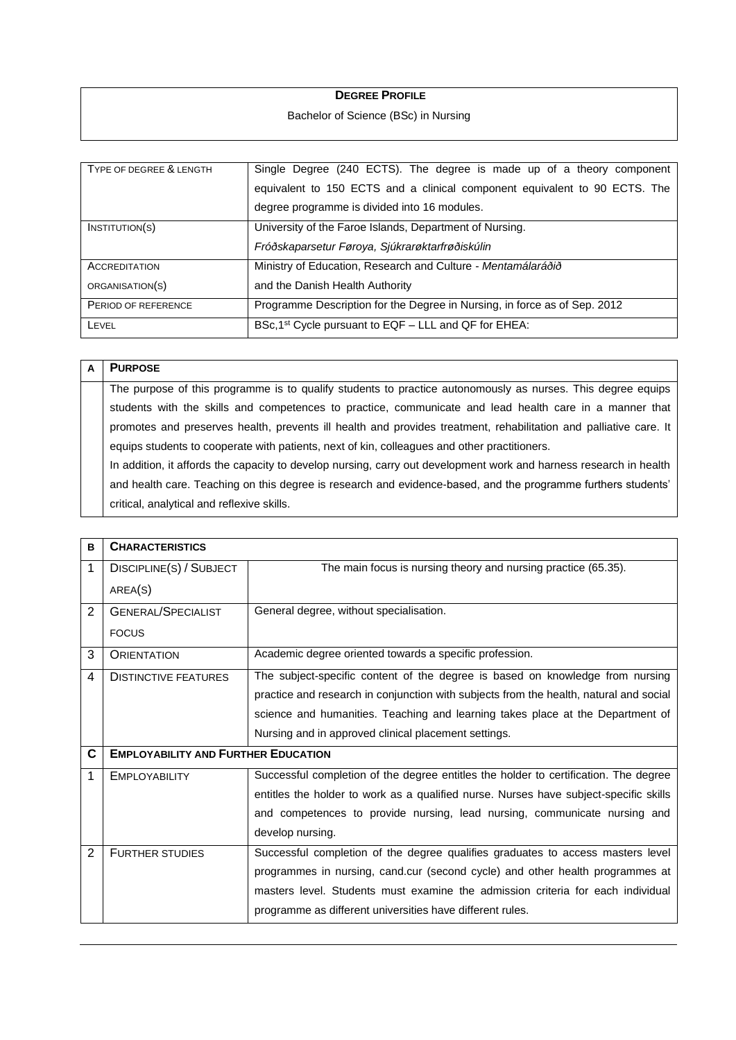## **DEGREE PROFILE**

## Bachelor of Science (BSc) in Nursing

| TYPE OF DEGREE & LENGTH | Single Degree (240 ECTS). The degree is made up of a theory component      |
|-------------------------|----------------------------------------------------------------------------|
|                         | equivalent to 150 ECTS and a clinical component equivalent to 90 ECTS. The |
|                         | degree programme is divided into 16 modules.                               |
| $I$ NSTITUTION $(S)$    | University of the Faroe Islands, Department of Nursing.                    |
|                         | Fróðskaparsetur Føroya, Sjúkrarøktarfrøðiskúlin                            |
| <b>ACCREDITATION</b>    | Ministry of Education, Research and Culture - Mentamálaráðið               |
| ORGANISATION(S)         | and the Danish Health Authority                                            |
| PERIOD OF REFERENCE     | Programme Description for the Degree in Nursing, in force as of Sep. 2012  |
| LEVEL                   | BSc, 1 <sup>st</sup> Cycle pursuant to EQF - LLL and QF for EHEA:          |

| A | <b>PURPOSE</b>                                                                                                     |
|---|--------------------------------------------------------------------------------------------------------------------|
|   | The purpose of this programme is to qualify students to practice autonomously as nurses. This degree equips        |
|   | students with the skills and competences to practice, communicate and lead health care in a manner that            |
|   | promotes and preserves health, prevents ill health and provides treatment, rehabilitation and palliative care. It  |
|   | equips students to cooperate with patients, next of kin, colleagues and other practitioners.                       |
|   | In addition, it affords the capacity to develop nursing, carry out development work and harness research in health |
|   | and health care. Teaching on this degree is research and evidence-based, and the programme furthers students'      |
|   | critical, analytical and reflexive skills.                                                                         |

| B              | <b>CHARACTERISTICS</b>                     |                                                                                        |
|----------------|--------------------------------------------|----------------------------------------------------------------------------------------|
| 1              | DISCIPLINE(S) / SUBJECT                    | The main focus is nursing theory and nursing practice (65.35).                         |
|                | AREA(S)                                    |                                                                                        |
| 2              | <b>GENERAL/SPECIALIST</b>                  | General degree, without specialisation.                                                |
|                | <b>FOCUS</b>                               |                                                                                        |
| 3              | <b>ORIENTATION</b>                         | Academic degree oriented towards a specific profession.                                |
| 4              | <b>DISTINCTIVE FEATURES</b>                | The subject-specific content of the degree is based on knowledge from nursing          |
|                |                                            | practice and research in conjunction with subjects from the health, natural and social |
|                |                                            | science and humanities. Teaching and learning takes place at the Department of         |
|                |                                            | Nursing and in approved clinical placement settings.                                   |
| C              | <b>EMPLOYABILITY AND FURTHER EDUCATION</b> |                                                                                        |
| 1              | <b>EMPLOYABILITY</b>                       | Successful completion of the degree entitles the holder to certification. The degree   |
|                |                                            | entitles the holder to work as a qualified nurse. Nurses have subject-specific skills  |
|                |                                            | and competences to provide nursing, lead nursing, communicate nursing and              |
|                |                                            | develop nursing.                                                                       |
| $\overline{2}$ | <b>FURTHER STUDIES</b>                     | Successful completion of the degree qualifies graduates to access masters level        |
|                |                                            | programmes in nursing, cand.cur (second cycle) and other health programmes at          |
|                |                                            | masters level. Students must examine the admission criteria for each individual        |
|                |                                            | programme as different universities have different rules.                              |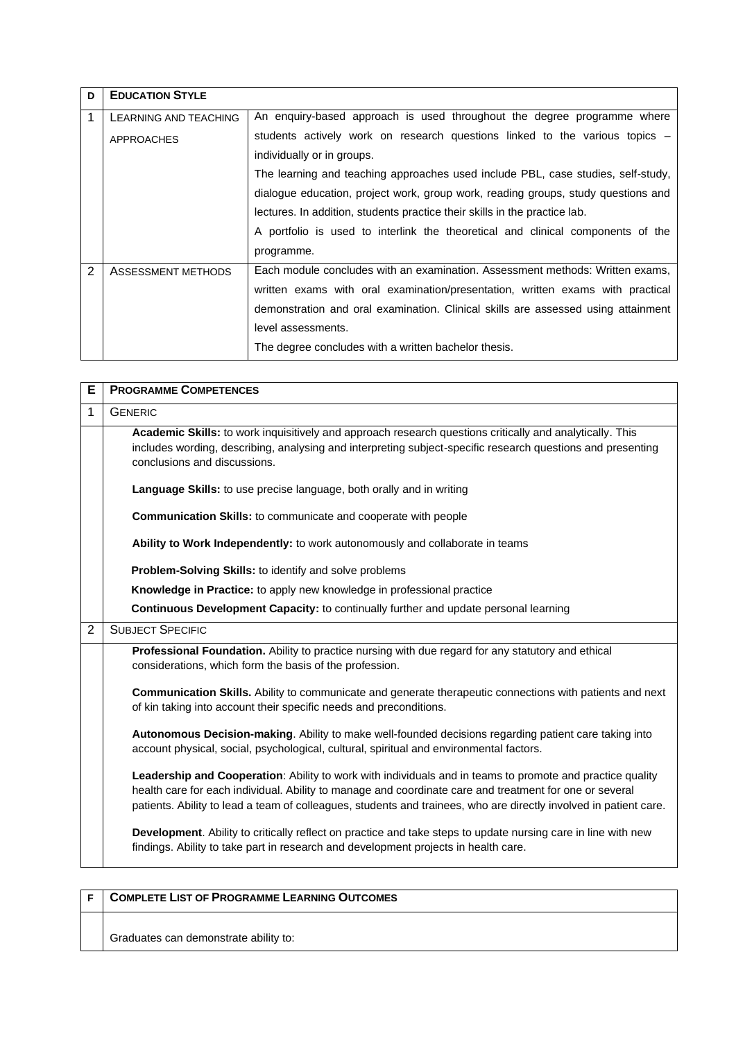| D | <b>EDUCATION STYLE</b> |                                                                                   |
|---|------------------------|-----------------------------------------------------------------------------------|
|   | LEARNING AND TEACHING  | An enguiry-based approach is used throughout the degree programme where           |
|   | <b>APPROACHES</b>      | students actively work on research questions linked to the various topics -       |
|   |                        | individually or in groups.                                                        |
|   |                        | The learning and teaching approaches used include PBL, case studies, self-study,  |
|   |                        | dialogue education, project work, group work, reading groups, study questions and |
|   |                        | lectures. In addition, students practice their skills in the practice lab.        |
|   |                        | A portfolio is used to interlink the theoretical and clinical components of the   |
|   |                        | programme.                                                                        |
| 2 | ASSESSMENT METHODS     | Each module concludes with an examination. Assessment methods: Written exams,     |
|   |                        | written exams with oral examination/presentation, written exams with practical    |
|   |                        | demonstration and oral examination. Clinical skills are assessed using attainment |
|   |                        | level assessments.                                                                |
|   |                        | The degree concludes with a written bachelor thesis.                              |

| Е              | <b>PROGRAMME COMPETENCES</b>                                                                                                                                                                                                                                                                                                              |
|----------------|-------------------------------------------------------------------------------------------------------------------------------------------------------------------------------------------------------------------------------------------------------------------------------------------------------------------------------------------|
| 1              | <b>GENERIC</b>                                                                                                                                                                                                                                                                                                                            |
|                | Academic Skills: to work inquisitively and approach research questions critically and analytically. This<br>includes wording, describing, analysing and interpreting subject-specific research questions and presenting<br>conclusions and discussions.                                                                                   |
|                | Language Skills: to use precise language, both orally and in writing                                                                                                                                                                                                                                                                      |
|                | Communication Skills: to communicate and cooperate with people                                                                                                                                                                                                                                                                            |
|                | Ability to Work Independently: to work autonomously and collaborate in teams                                                                                                                                                                                                                                                              |
|                | Problem-Solving Skills: to identify and solve problems                                                                                                                                                                                                                                                                                    |
|                | Knowledge in Practice: to apply new knowledge in professional practice                                                                                                                                                                                                                                                                    |
|                | Continuous Development Capacity: to continually further and update personal learning                                                                                                                                                                                                                                                      |
| $\overline{2}$ | <b>SUBJECT SPECIFIC</b>                                                                                                                                                                                                                                                                                                                   |
|                | Professional Foundation. Ability to practice nursing with due regard for any statutory and ethical<br>considerations, which form the basis of the profession.                                                                                                                                                                             |
|                | Communication Skills. Ability to communicate and generate therapeutic connections with patients and next<br>of kin taking into account their specific needs and preconditions.                                                                                                                                                            |
|                | Autonomous Decision-making. Ability to make well-founded decisions regarding patient care taking into<br>account physical, social, psychological, cultural, spiritual and environmental factors.                                                                                                                                          |
|                | Leadership and Cooperation: Ability to work with individuals and in teams to promote and practice quality<br>health care for each individual. Ability to manage and coordinate care and treatment for one or several<br>patients. Ability to lead a team of colleagues, students and trainees, who are directly involved in patient care. |
|                | Development. Ability to critically reflect on practice and take steps to update nursing care in line with new<br>findings. Ability to take part in research and development projects in health care.                                                                                                                                      |

| <b>COMPLETE LIST OF PROGRAMME LEARNING OUTCOMES</b> |
|-----------------------------------------------------|
| Graduates can demonstrate ability to:               |